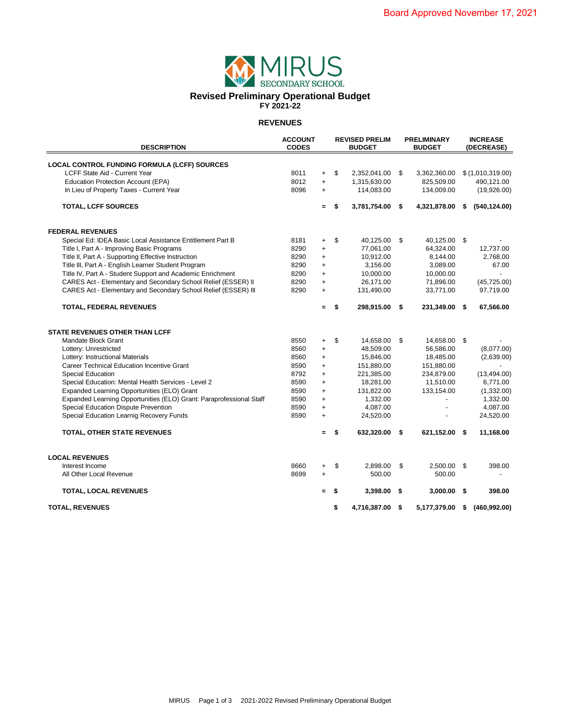

#### **REVENUES**

| <b>DESCRIPTION</b>                                                  | <b>ACCOUNT</b><br><b>CODES</b> |           | <b>REVISED PRELIM</b><br><b>BUDGET</b> |                 |      | <b>PRELIMINARY</b><br><b>BUDGET</b> |      | <b>INCREASE</b><br>(DECREASE) |  |
|---------------------------------------------------------------------|--------------------------------|-----------|----------------------------------------|-----------------|------|-------------------------------------|------|-------------------------------|--|
| LOCAL CONTROL FUNDING FORMULA (LCFF) SOURCES                        |                                |           |                                        |                 |      |                                     |      |                               |  |
| LCFF State Aid - Current Year                                       | 8011                           | $\ddot{}$ | \$                                     | 2,352,041.00    | - \$ | 3,362,360.00                        |      | \$(1,010,319.00)              |  |
| <b>Education Protection Account (EPA)</b>                           | 8012                           | $\ddot{}$ |                                        | 1,315,630.00    |      | 825,509.00                          |      | 490,121.00                    |  |
| In Lieu of Property Taxes - Current Year                            | 8096                           | $\ddot{}$ |                                        | 114,083.00      |      | 134,009.00                          |      | (19,926.00)                   |  |
| <b>TOTAL, LCFF SOURCES</b>                                          |                                | $=$       | \$                                     | 3,781,754.00 \$ |      | 4,321,878.00                        | - \$ | (540, 124.00)                 |  |
| <b>FEDERAL REVENUES</b>                                             |                                |           |                                        |                 |      |                                     |      |                               |  |
| Special Ed: IDEA Basic Local Assistance Entitlement Part B          | 8181                           | $\ddot{}$ | \$                                     | 40,125.00       | -\$  | 40,125.00 \$                        |      |                               |  |
| Title I, Part A - Improving Basic Programs                          | 8290                           | $\ddot{}$ |                                        | 77,061.00       |      | 64,324.00                           |      | 12,737.00                     |  |
| Title II, Part A - Supporting Effective Instruction                 | 8290                           | $\ddot{}$ |                                        | 10,912.00       |      | 8,144.00                            |      | 2,768.00                      |  |
| Title III, Part A - English Learner Student Program                 | 8290                           | $\ddot{}$ |                                        | 3,156.00        |      | 3,089.00                            |      | 67.00                         |  |
| Title IV, Part A - Student Support and Academic Enrichment          | 8290                           | $\ddot{}$ |                                        | 10,000.00       |      | 10,000.00                           |      | $\overline{a}$                |  |
| CARES Act - Elementary and Secondary School Relief (ESSER) II       | 8290                           | $\ddot{}$ |                                        | 26,171.00       |      | 71,896.00                           |      | (45, 725.00)                  |  |
| CARES Act - Elementary and Secondary School Relief (ESSER) III      | 8290                           | $\ddot{}$ |                                        | 131,490.00      |      | 33,771.00                           |      | 97,719.00                     |  |
| TOTAL, FEDERAL REVENUES                                             |                                | $=$       | \$                                     | 298,915.00      | - \$ | 231,349.00 \$                       |      | 67,566.00                     |  |
| <b>STATE REVENUES OTHER THAN LCFF</b>                               |                                |           |                                        |                 |      |                                     |      |                               |  |
| Mandate Block Grant                                                 | 8550                           | $\ddot{}$ | \$                                     | 14,658.00       | -\$  | 14,658.00 \$                        |      |                               |  |
| Lottery: Unrestricted                                               | 8560                           | $\ddot{}$ |                                        | 48,509.00       |      | 56,586.00                           |      | (8,077.00)                    |  |
| Lottery: Instructional Materials                                    | 8560                           | $\ddot{}$ |                                        | 15,846.00       |      | 18,485.00                           |      | (2,639.00)                    |  |
| Career Technical Education Incentive Grant                          | 8590                           | $\ddot{}$ |                                        | 151,880.00      |      | 151,880.00                          |      |                               |  |
| <b>Special Education</b>                                            | 8792                           | $\ddot{}$ |                                        | 221,385.00      |      | 234,879.00                          |      | (13, 494.00)                  |  |
| Special Education: Mental Health Services - Level 2                 | 8590                           | $\ddot{}$ |                                        | 18,281.00       |      | 11,510.00                           |      | 6,771.00                      |  |
| Expanded Learning Opportunities (ELO) Grant                         | 8590                           | $\ddot{}$ |                                        | 131,822.00      |      | 133,154.00                          |      | (1,332.00)                    |  |
| Expanded Learning Opportunities (ELO) Grant: Paraprofessional Staff | 8590                           | $\ddot{}$ |                                        | 1,332.00        |      |                                     |      | 1,332.00                      |  |
| Special Education Dispute Prevention                                | 8590                           | $\ddot{}$ |                                        | 4,087.00        |      | $\overline{a}$                      |      | 4,087.00                      |  |
| Special Education Learnig Recovery Funds                            | 8590                           | $\ddot{}$ |                                        | 24,520.00       |      |                                     |      | 24,520.00                     |  |
| <b>TOTAL, OTHER STATE REVENUES</b>                                  |                                | $\equiv$  | \$                                     | 632,320.00      | - \$ | 621,152.00                          | - \$ | 11,168.00                     |  |
| <b>LOCAL REVENUES</b>                                               |                                |           |                                        |                 |      |                                     |      |                               |  |
| Interest Income                                                     | 8660                           | $\ddot{}$ | \$                                     | 2,898.00        | \$   | 2,500.00 \$                         |      | 398.00                        |  |
| All Other Local Revenue                                             | 8699                           | $\ddot{}$ |                                        | 500.00          |      | 500.00                              |      |                               |  |
| <b>TOTAL, LOCAL REVENUES</b>                                        |                                |           | \$                                     | 3,398.00        | - \$ | 3,000.00                            | \$   | 398.00                        |  |
| <b>TOTAL, REVENUES</b>                                              |                                |           | \$                                     | 4,716,387.00 \$ |      | 5,177,379.00                        | \$   | (460, 992.00)                 |  |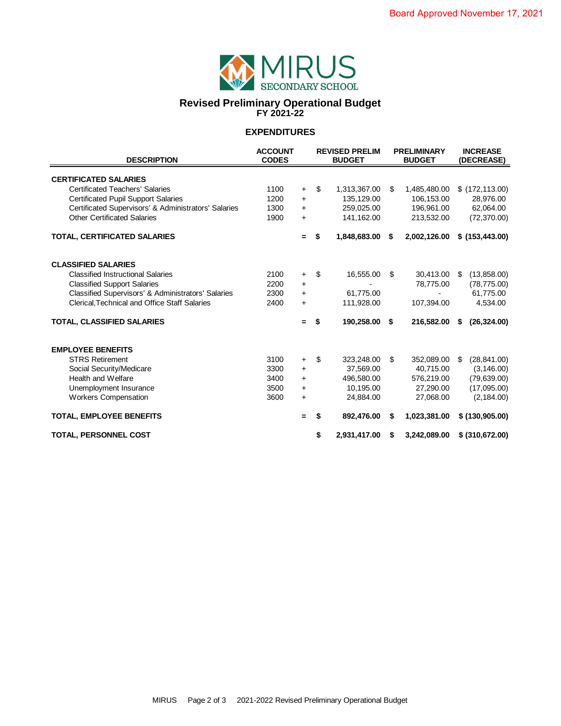

#### **Revised Preliminary Operational Budget FY 2021-22**

## **EXPENDITURES**

|                                                      | <b>ACCOUNT</b> | <b>REVISED PRELIM</b> |               |              |    | <b>PRELIMINARY</b> | <b>INCREASE</b>   |                  |  |
|------------------------------------------------------|----------------|-----------------------|---------------|--------------|----|--------------------|-------------------|------------------|--|
| <b>DESCRIPTION</b>                                   | <b>CODES</b>   |                       | <b>BUDGET</b> |              |    | <b>BUDGET</b>      | <b>(DECREASE)</b> |                  |  |
|                                                      |                |                       |               |              |    |                    |                   |                  |  |
| <b>CERTIFICATED SALARIES</b>                         |                |                       |               |              |    |                    |                   |                  |  |
| <b>Certificated Teachers' Salaries</b>               | 1100           | $\ddot{}$             | \$            | 1,313,367.00 | \$ | 1,485,480.00       |                   | \$(172, 113.00)  |  |
| <b>Certificated Pupil Support Salaries</b>           | 1200           | $+$                   |               | 135,129.00   |    | 106,153.00         |                   | 28,976.00        |  |
| Certificated Supervisors' & Administrators' Salaries | 1300           | $+$                   |               | 259,025.00   |    | 196,961.00         |                   | 62,064.00        |  |
| <b>Other Certificated Salaries</b>                   | 1900           | $\ddot{}$             |               | 141,162.00   |    | 213,532.00         |                   | (72, 370.00)     |  |
| <b>TOTAL, CERTIFICATED SALARIES</b>                  |                | $=$                   | \$            | 1,848,683.00 | \$ | 2,002,126.00       |                   | \$ (153, 443.00) |  |
| <b>CLASSIFIED SALARIES</b>                           |                |                       |               |              |    |                    |                   |                  |  |
| <b>Classified Instructional Salaries</b>             | 2100           | $\ddot{}$             | \$            | 16,555.00    | \$ | 30,413.00          | \$                | (13,858.00)      |  |
| <b>Classified Support Salaries</b>                   | 2200           | $\ddot{}$             |               |              |    | 78,775.00          |                   | (78, 775.00)     |  |
| Classified Supervisors' & Administrators' Salaries   | 2300           | $+$                   |               | 61,775.00    |    |                    |                   | 61,775.00        |  |
| Clerical, Technical and Office Staff Salaries        | 2400           | $\ddot{}$             |               | 111,928.00   |    | 107,394.00         |                   | 4,534.00         |  |
| <b>TOTAL, CLASSIFIED SALARIES</b>                    |                | $=$                   | \$            | 190,258.00   | \$ | 216,582.00         | S                 | (26, 324.00)     |  |
| <b>EMPLOYEE BENEFITS</b>                             |                |                       |               |              |    |                    |                   |                  |  |
| <b>STRS Retirement</b>                               | 3100           | $\ddot{}$             | \$            | 323,248.00   | \$ | 352,089.00         | \$                | (28, 841.00)     |  |
| Social Security/Medicare                             | 3300           | $\ddot{}$             |               | 37,569.00    |    | 40,715.00          |                   | (3, 146.00)      |  |
| Health and Welfare                                   | 3400           | $+$                   |               | 496,580.00   |    | 576,219.00         |                   | (79, 639.00)     |  |
| Unemployment Insurance                               | 3500           | $\ddot{}$             |               | 10,195.00    |    | 27,290.00          |                   | (17,095.00)      |  |
| <b>Workers Compensation</b>                          | 3600           | $\ddot{}$             |               | 24,884.00    |    | 27,068.00          |                   | (2, 184.00)      |  |
| <b>TOTAL, EMPLOYEE BENEFITS</b>                      |                | $=$                   | S             | 892,476.00   | \$ | 1,023,381.00       |                   | \$(130,905.00)   |  |
| <b>TOTAL, PERSONNEL COST</b>                         |                |                       | \$            | 2,931,417.00 | S  | 3,242,089.00       |                   | \$ (310,672.00)  |  |